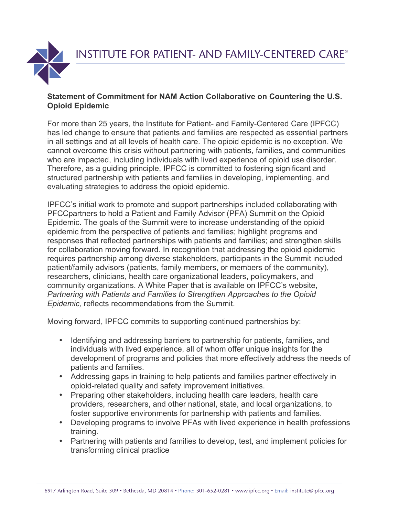

## **Statement of Commitment for NAM Action Collaborative on Countering the U.S. Opioid Epidemic**

For more than 25 years, the Institute for Patient- and Family-Centered Care (IPFCC) has led change to ensure that patients and families are respected as essential partners in all settings and at all levels of health care. The opioid epidemic is no exception. We cannot overcome this crisis without partnering with patients, families, and communities who are impacted, including individuals with lived experience of opioid use disorder. Therefore, as a guiding principle, IPFCC is committed to fostering significant and structured partnership with patients and families in developing, implementing, and evaluating strategies to address the opioid epidemic.

IPFCC's initial work to promote and support partnerships included collaborating with PFCCpartners to hold a Patient and Family Advisor (PFA) Summit on the Opioid Epidemic. The goals of the Summit were to increase understanding of the opioid epidemic from the perspective of patients and families; highlight programs and responses that reflected partnerships with patients and families; and strengthen skills for collaboration moving forward. In recognition that addressing the opioid epidemic requires partnership among diverse stakeholders, participants in the Summit included patient/family advisors (patients, family members, or members of the community), researchers, clinicians, health care organizational leaders, policymakers, and community organizations. A White Paper that is available on IPFCC's website, *Partnering with Patients and Families to Strengthen Approaches to the Opioid Epidemic,* reflects recommendations from the Summit.

Moving forward, IPFCC commits to supporting continued partnerships by:

- Identifying and addressing barriers to partnership for patients, families, and individuals with lived experience, all of whom offer unique insights for the development of programs and policies that more effectively address the needs of patients and families.
- Addressing gaps in training to help patients and families partner effectively in opioid-related quality and safety improvement initiatives.
- Preparing other stakeholders, including health care leaders, health care providers, researchers, and other national, state, and local organizations, to foster supportive environments for partnership with patients and families.
- Developing programs to involve PFAs with lived experience in health professions training.
- Partnering with patients and families to develop, test, and implement policies for transforming clinical practice